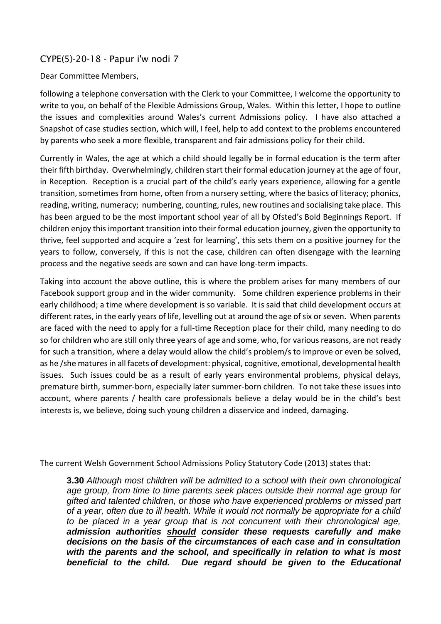# CYPE(5)-20-18 - Papur i'w nodi 7

## Dear Committee Members,

following a telephone conversation with the Clerk to your Committee, I welcome the opportunity to write to you, on behalf of the Flexible Admissions Group, Wales. Within this letter, I hope to outline the issues and complexities around Wales's current Admissions policy. I have also attached a Snapshot of case studies section, which will, I feel, help to add context to the problems encountered by parents who seek a more flexible, transparent and fair admissions policy for their child.

Currently in Wales, the age at which a child should legally be in formal education is the term after their fifth birthday. Overwhelmingly, children start their formal education journey at the age of four, in Reception. Reception is a crucial part of the child's early years experience, allowing for a gentle transition, sometimes from home, often from a nursery setting, where the basics of literacy; phonics, reading, writing, numeracy; numbering, counting, rules, new routines and socialising take place. This has been argued to be the most important school year of all by Ofsted's Bold Beginnings Report. If children enjoy this important transition into their formal education journey, given the opportunity to thrive, feel supported and acquire a 'zest for learning', this sets them on a positive journey for the years to follow, conversely, if this is not the case, children can often disengage with the learning process and the negative seeds are sown and can have long-term impacts.

Taking into account the above outline, this is where the problem arises for many members of our Facebook support group and in the wider community. Some children experience problems in their early childhood; a time where development is so variable. It is said that child development occurs at different rates, in the early years of life, levelling out at around the age of six or seven. When parents are faced with the need to apply for a full-time Reception place for their child, many needing to do so for children who are still only three years of age and some, who, for various reasons, are not ready for such a transition, where a delay would allow the child's problem/s to improve or even be solved, as he /she matures in all facets of development: physical, cognitive, emotional, developmental health issues. Such issues could be as a result of early years environmental problems, physical delays, premature birth, summer-born, especially later summer-born children. To not take these issues into account, where parents / health care professionals believe a delay would be in the child's best interests is, we believe, doing such young children a disservice and indeed, damaging.

The current Welsh Government School Admissions Policy Statutory Code (2013) states that:

**3.30** *Although most children will be admitted to a school with their own chronological age group, from time to time parents seek places outside their normal age group for gifted and talented children, or those who have experienced problems or missed part of a year, often due to ill health. While it would not normally be appropriate for a child to be placed in a year group that is not concurrent with their chronological age, admission authorities should consider these requests carefully and make decisions on the basis of the circumstances of each case and in consultation*  with the parents and the school, and specifically in relation to what is most *beneficial to the child. Due regard should be given to the Educational*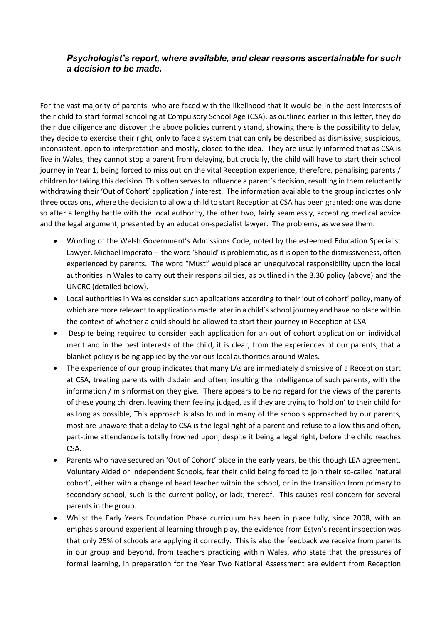## *Psychologist's report, where available, and clear reasons ascertainable for such a decision to be made.*

For the vast majority of parents who are faced with the likelihood that it would be in the best interests of their child to start formal schooling at Compulsory School Age (CSA), as outlined earlier in this letter, they do their due diligence and discover the above policies currently stand, showing there is the possibility to delay, they decide to exercise their right, only to face a system that can only be described as dismissive, suspicious, inconsistent, open to interpretation and mostly, closed to the idea. They are usually informed that as CSA is five in Wales, they cannot stop a parent from delaying, but crucially, the child will have to start their school journey in Year 1, being forced to miss out on the vital Reception experience, therefore, penalising parents / children for taking this decision. This often serves to influence a parent's decision, resulting in them reluctantly withdrawing their 'Out of Cohort' application / interest. The information available to the group indicates only three occasions, where the decision to allow a child to start Reception at CSA has been granted; one was done so after a lengthy battle with the local authority, the other two, fairly seamlessly, accepting medical advice and the legal argument, presented by an education-specialist lawyer. The problems, as we see them:

- Wording of the Welsh Government's Admissions Code, noted by the esteemed Education Specialist Lawyer, Michael Imperato – the word 'Should' is problematic, as it is open to the dismissiveness, often experienced by parents. The word "Must" would place an unequivocal responsibility upon the local authorities in Wales to carry out their responsibilities, as outlined in the 3.30 policy (above) and the UNCRC (detailed below).
- Local authorities in Wales consider such applications according to their 'out of cohort' policy, many of which are more relevant to applications made later in a child's school journey and have no place within the context of whether a child should be allowed to start their journey in Reception at CSA.
- Despite being required to consider each application for an out of cohort application on individual merit and in the best interests of the child, it is clear, from the experiences of our parents, that a blanket policy is being applied by the various local authorities around Wales.
- The experience of our group indicates that many LAs are immediately dismissive of a Reception start at CSA, treating parents with disdain and often, insulting the intelligence of such parents, with the information / misinformation they give. There appears to be no regard for the views of the parents of these young children, leaving them feeling judged, as if they are trying to 'hold on' to their child for as long as possible, This approach is also found in many of the schools approached by our parents, most are unaware that a delay to CSA is the legal right of a parent and refuse to allow this and often, part-time attendance is totally frowned upon, despite it being a legal right, before the child reaches CSA.
- Parents who have secured an 'Out of Cohort' place in the early years, be this though LEA agreement, Voluntary Aided or Independent Schools, fear their child being forced to join their so-called 'natural cohort', either with a change of head teacher within the school, or in the transition from primary to secondary school, such is the current policy, or lack, thereof. This causes real concern for several parents in the group.
- Whilst the Early Years Foundation Phase curriculum has been in place fully, since 2008, with an emphasis around experiential learning through play, the evidence from Estyn's recent inspection was that only 25% of schools are applying it correctly. This is also the feedback we receive from parents in our group and beyond, from teachers practicing within Wales, who state that the pressures of formal learning, in preparation for the Year Two National Assessment are evident from Reception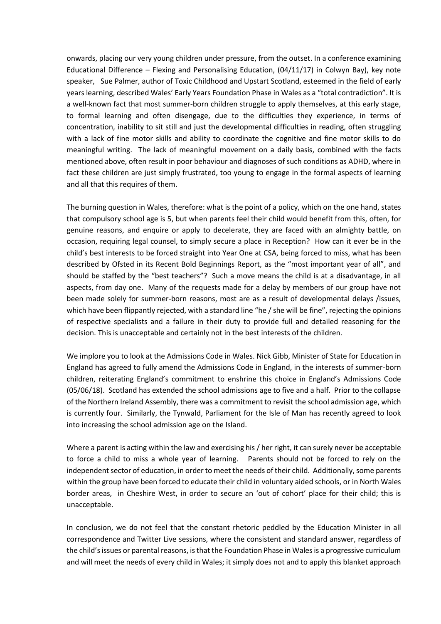onwards, placing our very young children under pressure, from the outset. In a conference examining Educational Difference – Flexing and Personalising Education, (04/11/17) in Colwyn Bay), key note speaker, Sue Palmer, author of Toxic Childhood and Upstart Scotland, esteemed in the field of early years learning, described Wales' Early Years Foundation Phase in Wales as a "total contradiction". It is a well-known fact that most summer-born children struggle to apply themselves, at this early stage, to formal learning and often disengage, due to the difficulties they experience, in terms of concentration, inability to sit still and just the developmental difficulties in reading, often struggling with a lack of fine motor skills and ability to coordinate the cognitive and fine motor skills to do meaningful writing. The lack of meaningful movement on a daily basis, combined with the facts mentioned above, often result in poor behaviour and diagnoses of such conditions as ADHD, where in fact these children are just simply frustrated, too young to engage in the formal aspects of learning and all that this requires of them.

The burning question in Wales, therefore: what is the point of a policy, which on the one hand, states that compulsory school age is 5, but when parents feel their child would benefit from this, often, for genuine reasons, and enquire or apply to decelerate, they are faced with an almighty battle, on occasion, requiring legal counsel, to simply secure a place in Reception? How can it ever be in the child's best interests to be forced straight into Year One at CSA, being forced to miss, what has been described by Ofsted in its Recent Bold Beginnings Report, as the "most important year of all", and should be staffed by the "best teachers"? Such a move means the child is at a disadvantage, in all aspects, from day one. Many of the requests made for a delay by members of our group have not been made solely for summer-born reasons, most are as a result of developmental delays /issues, which have been flippantly rejected, with a standard line "he / she will be fine", rejecting the opinions of respective specialists and a failure in their duty to provide full and detailed reasoning for the decision. This is unacceptable and certainly not in the best interests of the children.

We implore you to look at the Admissions Code in Wales. Nick Gibb, Minister of State for Education in England has agreed to fully amend the Admissions Code in England, in the interests of summer-born children, reiterating England's commitment to enshrine this choice in England's Admissions Code (05/06/18). Scotland has extended the school admissions age to five and a half. Prior to the collapse of the Northern Ireland Assembly, there was a commitment to revisit the school admission age, which is currently four. Similarly, the Tynwald, Parliament for the Isle of Man has recently agreed to look into increasing the school admission age on the Island.

Where a parent is acting within the law and exercising his / her right, it can surely never be acceptable to force a child to miss a whole year of learning. Parents should not be forced to rely on the independent sector of education, in order to meet the needs of their child. Additionally, some parents within the group have been forced to educate their child in voluntary aided schools, or in North Wales border areas, in Cheshire West, in order to secure an 'out of cohort' place for their child; this is unacceptable.

In conclusion, we do not feel that the constant rhetoric peddled by the Education Minister in all correspondence and Twitter Live sessions, where the consistent and standard answer, regardless of the child's issues or parental reasons, isthat the Foundation Phase in Wales is a progressive curriculum and will meet the needs of every child in Wales; it simply does not and to apply this blanket approach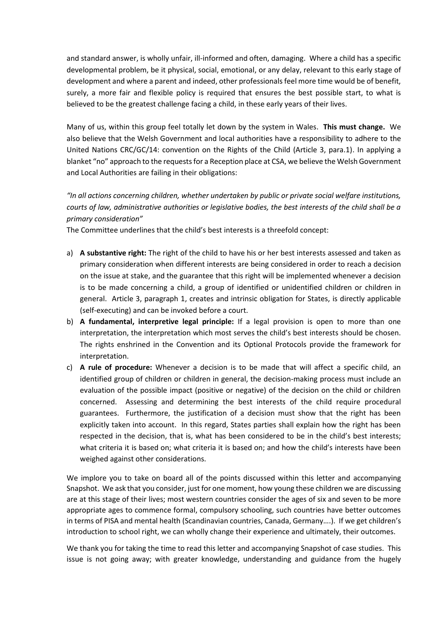and standard answer, is wholly unfair, ill-informed and often, damaging. Where a child has a specific developmental problem, be it physical, social, emotional, or any delay, relevant to this early stage of development and where a parent and indeed, other professionals feel more time would be of benefit, surely, a more fair and flexible policy is required that ensures the best possible start, to what is believed to be the greatest challenge facing a child, in these early years of their lives.

Many of us, within this group feel totally let down by the system in Wales. **This must change.** We also believe that the Welsh Government and local authorities have a responsibility to adhere to the United Nations CRC/GC/14: convention on the Rights of the Child (Article 3, para.1). In applying a blanket "no" approach to the requests for a Reception place at CSA, we believe the Welsh Government and Local Authorities are failing in their obligations:

*"In all actions concerning children, whether undertaken by public or private social welfare institutions, courts of law, administrative authorities or legislative bodies, the best interests of the child shall be a primary consideration"*

The Committee underlines that the child's best interests is a threefold concept:

- a) **A substantive right:** The right of the child to have his or her best interests assessed and taken as primary consideration when different interests are being considered in order to reach a decision on the issue at stake, and the guarantee that this right will be implemented whenever a decision is to be made concerning a child, a group of identified or unidentified children or children in general. Article 3, paragraph 1, creates and intrinsic obligation for States, is directly applicable (self-executing) and can be invoked before a court.
- b) **A fundamental, interpretive legal principle:** If a legal provision is open to more than one interpretation, the interpretation which most serves the child's best interests should be chosen. The rights enshrined in the Convention and its Optional Protocols provide the framework for interpretation.
- c) **A rule of procedure:** Whenever a decision is to be made that will affect a specific child, an identified group of children or children in general, the decision-making process must include an evaluation of the possible impact (positive or negative) of the decision on the child or children concerned. Assessing and determining the best interests of the child require procedural guarantees. Furthermore, the justification of a decision must show that the right has been explicitly taken into account. In this regard, States parties shall explain how the right has been respected in the decision, that is, what has been considered to be in the child's best interests; what criteria it is based on; what criteria it is based on; and how the child's interests have been weighed against other considerations.

We implore you to take on board all of the points discussed within this letter and accompanying Snapshot. We ask that you consider, just for one moment, how young these children we are discussing are at this stage of their lives; most western countries consider the ages of six and seven to be more appropriate ages to commence formal, compulsory schooling, such countries have better outcomes in terms of PISA and mental health (Scandinavian countries, Canada, Germany….). If we get children's introduction to school right, we can wholly change their experience and ultimately, their outcomes.

We thank you for taking the time to read this letter and accompanying Snapshot of case studies. This issue is not going away; with greater knowledge, understanding and guidance from the hugely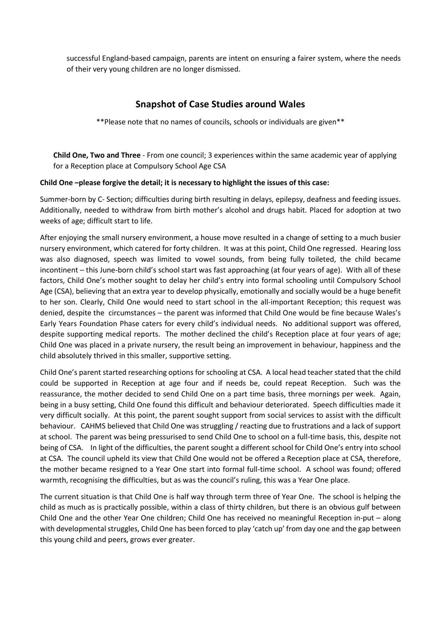successful England-based campaign, parents are intent on ensuring a fairer system, where the needs of their very young children are no longer dismissed.

# **Snapshot of Case Studies around Wales**

\*\*Please note that no names of councils, schools or individuals are given\*\*

**Child One, Two and Three** - From one council; 3 experiences within the same academic year of applying for a Reception place at Compulsory School Age CSA

## **Child One –please forgive the detail; it is necessary to highlight the issues of this case:**

Summer-born by C- Section; difficulties during birth resulting in delays, epilepsy, deafness and feeding issues. Additionally, needed to withdraw from birth mother's alcohol and drugs habit. Placed for adoption at two weeks of age; difficult start to life.

After enjoying the small nursery environment, a house move resulted in a change of setting to a much busier nursery environment, which catered for forty children. It was at this point, Child One regressed. Hearing loss was also diagnosed, speech was limited to vowel sounds, from being fully toileted, the child became incontinent – this June-born child's school start was fast approaching (at four years of age). With all of these factors, Child One's mother sought to delay her child's entry into formal schooling until Compulsory School Age (CSA), believing that an extra year to develop physically, emotionally and socially would be a huge benefit to her son. Clearly, Child One would need to start school in the all-important Reception; this request was denied, despite the circumstances – the parent was informed that Child One would be fine because Wales's Early Years Foundation Phase caters for every child's individual needs. No additional support was offered, despite supporting medical reports. The mother declined the child's Reception place at four years of age; Child One was placed in a private nursery, the result being an improvement in behaviour, happiness and the child absolutely thrived in this smaller, supportive setting.

Child One's parent started researching options for schooling at CSA. A local head teacher stated that the child could be supported in Reception at age four and if needs be, could repeat Reception. Such was the reassurance, the mother decided to send Child One on a part time basis, three mornings per week. Again, being in a busy setting, Child One found this difficult and behaviour deteriorated. Speech difficulties made it very difficult socially. At this point, the parent sought support from social services to assist with the difficult behaviour. CAHMS believed that Child One was struggling / reacting due to frustrations and a lack of support at school. The parent was being pressurised to send Child One to school on a full-time basis, this, despite not being of CSA. In light of the difficulties, the parent sought a different school for Child One's entry into school at CSA. The council upheld its view that Child One would not be offered a Reception place at CSA, therefore, the mother became resigned to a Year One start into formal full-time school. A school was found; offered warmth, recognising the difficulties, but as was the council's ruling, this was a Year One place.

The current situation is that Child One is half way through term three of Year One. The school is helping the child as much as is practically possible, within a class of thirty children, but there is an obvious gulf between Child One and the other Year One children; Child One has received no meaningful Reception in-put – along with developmental struggles, Child One has been forced to play 'catch up' from day one and the gap between this young child and peers, grows ever greater.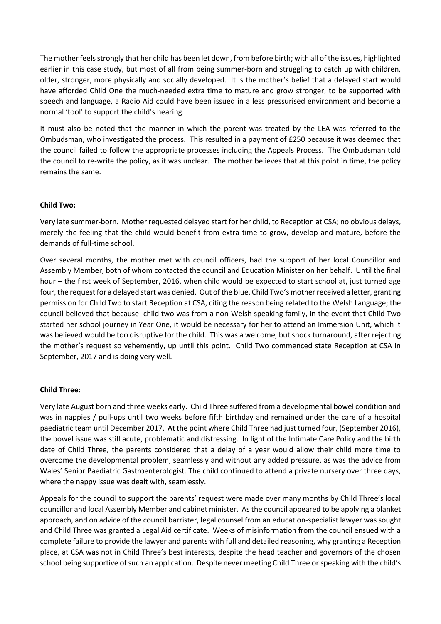The mother feels strongly that her child has been let down, from before birth; with all of the issues, highlighted earlier in this case study, but most of all from being summer-born and struggling to catch up with children, older, stronger, more physically and socially developed. It is the mother's belief that a delayed start would have afforded Child One the much-needed extra time to mature and grow stronger, to be supported with speech and language, a Radio Aid could have been issued in a less pressurised environment and become a normal 'tool' to support the child's hearing.

It must also be noted that the manner in which the parent was treated by the LEA was referred to the Ombudsman, who investigated the process. This resulted in a payment of £250 because it was deemed that the council failed to follow the appropriate processes including the Appeals Process. The Ombudsman told the council to re-write the policy, as it was unclear. The mother believes that at this point in time, the policy remains the same.

## **Child Two:**

Very late summer-born. Mother requested delayed start for her child, to Reception at CSA; no obvious delays, merely the feeling that the child would benefit from extra time to grow, develop and mature, before the demands of full-time school.

Over several months, the mother met with council officers, had the support of her local Councillor and Assembly Member, both of whom contacted the council and Education Minister on her behalf. Until the final hour – the first week of September, 2016, when child would be expected to start school at, just turned age four, the request for a delayed start was denied. Out of the blue, Child Two's mother received a letter, granting permission for Child Two to start Reception at CSA, citing the reason being related to the Welsh Language; the council believed that because child two was from a non-Welsh speaking family, in the event that Child Two started her school journey in Year One, it would be necessary for her to attend an Immersion Unit, which it was believed would be too disruptive for the child. This was a welcome, but shock turnaround, after rejecting the mother's request so vehemently, up until this point. Child Two commenced state Reception at CSA in September, 2017 and is doing very well.

#### **Child Three:**

Very late August born and three weeks early. Child Three suffered from a developmental bowel condition and was in nappies / pull-ups until two weeks before fifth birthday and remained under the care of a hospital paediatric team until December 2017. At the point where Child Three had just turned four, (September 2016), the bowel issue was still acute, problematic and distressing. In light of the Intimate Care Policy and the birth date of Child Three, the parents considered that a delay of a year would allow their child more time to overcome the developmental problem, seamlessly and without any added pressure, as was the advice from Wales' Senior Paediatric Gastroenterologist. The child continued to attend a private nursery over three days, where the nappy issue was dealt with, seamlessly.

Appeals for the council to support the parents' request were made over many months by Child Three's local councillor and local Assembly Member and cabinet minister. As the council appeared to be applying a blanket approach, and on advice of the council barrister, legal counsel from an education-specialist lawyer was sought and Child Three was granted a Legal Aid certificate. Weeks of misinformation from the council ensued with a complete failure to provide the lawyer and parents with full and detailed reasoning, why granting a Reception place, at CSA was not in Child Three's best interests, despite the head teacher and governors of the chosen school being supportive of such an application. Despite never meeting Child Three or speaking with the child's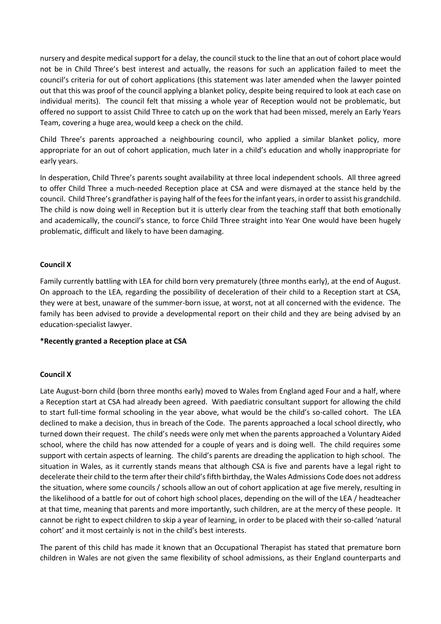nursery and despite medical support for a delay, the council stuck to the line that an out of cohort place would not be in Child Three's best interest and actually, the reasons for such an application failed to meet the council's criteria for out of cohort applications (this statement was later amended when the lawyer pointed out that this was proof of the council applying a blanket policy, despite being required to look at each case on individual merits). The council felt that missing a whole year of Reception would not be problematic, but offered no support to assist Child Three to catch up on the work that had been missed, merely an Early Years Team, covering a huge area, would keep a check on the child.

Child Three's parents approached a neighbouring council, who applied a similar blanket policy, more appropriate for an out of cohort application, much later in a child's education and wholly inappropriate for early years.

In desperation, Child Three's parents sought availability at three local independent schools. All three agreed to offer Child Three a much-needed Reception place at CSA and were dismayed at the stance held by the council. Child Three's grandfather is paying half of the fees for the infant years, in order to assist his grandchild. The child is now doing well in Reception but it is utterly clear from the teaching staff that both emotionally and academically, the council's stance, to force Child Three straight into Year One would have been hugely problematic, difficult and likely to have been damaging.

## **Council X**

Family currently battling with LEA for child born very prematurely (three months early), at the end of August. On approach to the LEA, regarding the possibility of deceleration of their child to a Reception start at CSA, they were at best, unaware of the summer-born issue, at worst, not at all concerned with the evidence. The family has been advised to provide a developmental report on their child and they are being advised by an education-specialist lawyer.

#### **\*Recently granted a Reception place at CSA**

#### **Council X**

Late August-born child (born three months early) moved to Wales from England aged Four and a half, where a Reception start at CSA had already been agreed. With paediatric consultant support for allowing the child to start full-time formal schooling in the year above, what would be the child's so-called cohort. The LEA declined to make a decision, thus in breach of the Code. The parents approached a local school directly, who turned down their request. The child's needs were only met when the parents approached a Voluntary Aided school, where the child has now attended for a couple of years and is doing well. The child requires some support with certain aspects of learning. The child's parents are dreading the application to high school. The situation in Wales, as it currently stands means that although CSA is five and parents have a legal right to decelerate their child to the term after their child's fifth birthday, the Wales Admissions Code does not address the situation, where some councils / schools allow an out of cohort application at age five merely, resulting in the likelihood of a battle for out of cohort high school places, depending on the will of the LEA / headteacher at that time, meaning that parents and more importantly, such children, are at the mercy of these people. It cannot be right to expect children to skip a year of learning, in order to be placed with their so-called 'natural cohort' and it most certainly is not in the child's best interests.

The parent of this child has made it known that an Occupational Therapist has stated that premature born children in Wales are not given the same flexibility of school admissions, as their England counterparts and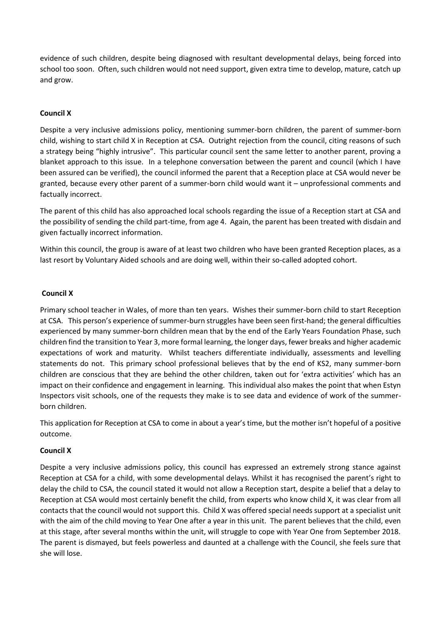evidence of such children, despite being diagnosed with resultant developmental delays, being forced into school too soon. Often, such children would not need support, given extra time to develop, mature, catch up and grow.

## **Council X**

Despite a very inclusive admissions policy, mentioning summer-born children, the parent of summer-born child, wishing to start child X in Reception at CSA. Outright rejection from the council, citing reasons of such a strategy being "highly intrusive". This particular council sent the same letter to another parent, proving a blanket approach to this issue. In a telephone conversation between the parent and council (which I have been assured can be verified), the council informed the parent that a Reception place at CSA would never be granted, because every other parent of a summer-born child would want it – unprofessional comments and factually incorrect.

The parent of this child has also approached local schools regarding the issue of a Reception start at CSA and the possibility of sending the child part-time, from age 4. Again, the parent has been treated with disdain and given factually incorrect information.

Within this council, the group is aware of at least two children who have been granted Reception places, as a last resort by Voluntary Aided schools and are doing well, within their so-called adopted cohort.

## **Council X**

Primary school teacher in Wales, of more than ten years. Wishes their summer-born child to start Reception at CSA. This person's experience of summer-burn struggles have been seen first-hand; the general difficulties experienced by many summer-born children mean that by the end of the Early Years Foundation Phase, such children find the transition to Year 3, more formal learning, the longer days, fewer breaks and higher academic expectations of work and maturity. Whilst teachers differentiate individually, assessments and levelling statements do not. This primary school professional believes that by the end of KS2, many summer-born children are conscious that they are behind the other children, taken out for 'extra activities' which has an impact on their confidence and engagement in learning. This individual also makes the point that when Estyn Inspectors visit schools, one of the requests they make is to see data and evidence of work of the summerborn children.

This application for Reception at CSA to come in about a year's time, but the mother isn't hopeful of a positive outcome.

#### **Council X**

Despite a very inclusive admissions policy, this council has expressed an extremely strong stance against Reception at CSA for a child, with some developmental delays. Whilst it has recognised the parent's right to delay the child to CSA, the council stated it would not allow a Reception start, despite a belief that a delay to Reception at CSA would most certainly benefit the child, from experts who know child X, it was clear from all contacts that the council would not support this. Child X was offered special needs support at a specialist unit with the aim of the child moving to Year One after a year in this unit. The parent believes that the child, even at this stage, after several months within the unit, will struggle to cope with Year One from September 2018. The parent is dismayed, but feels powerless and daunted at a challenge with the Council, she feels sure that she will lose.